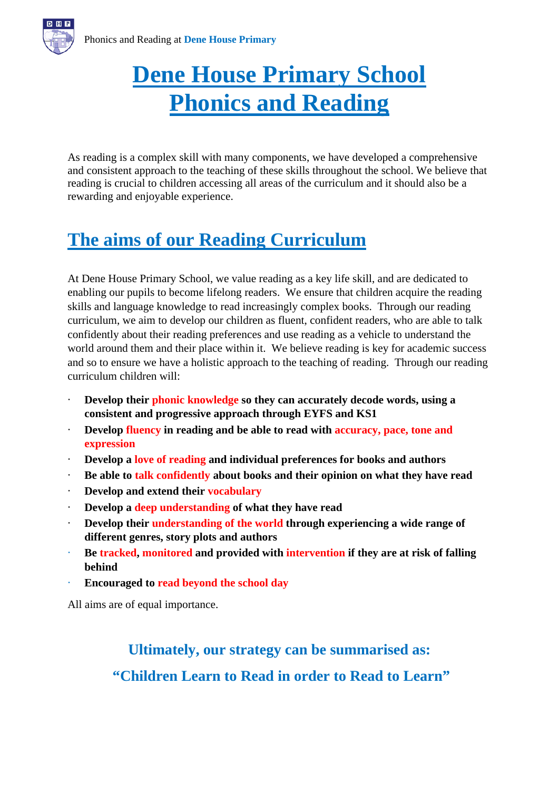# **Dene House Primary School Phonics and Reading**

As reading is a complex skill with many components, we have developed a comprehensive and consistent approach to the teaching of these skills throughout the school. We believe that reading is crucial to children accessing all areas of the curriculum and it should also be a rewarding and enjoyable experience.

# **The aims of our Reading Curriculum**

At Dene House Primary School, we value reading as a key life skill, and are dedicated to enabling our pupils to become lifelong readers. We ensure that children acquire the reading skills and language knowledge to read increasingly complex books. Through our reading curriculum, we aim to develop our children as fluent, confident readers, who are able to talk confidently about their reading preferences and use reading as a vehicle to understand the world around them and their place within it. We believe reading is key for academic success and so to ensure we have a holistic approach to the teaching of reading. Through our reading curriculum children will:

- Develop their **phonic knowledge** so they can accurately decode words, using a **consistent and progressive approach through EYFS and KS1**
- · **Develop fluency in reading and be able to read with accuracy, pace, tone and expression**
- · **Develop a love of reading and individual preferences for books and authors**
- · **Be able to talk confidently about books and their opinion on what they have read**
- · **Develop and extend their vocabulary**
- · **Develop a deep understanding of what they have read**
- · **Develop their understanding of the world through experiencing a wide range of different genres, story plots and authors**
- · **Be tracked, monitored and provided with intervention if they are at risk of falling behind**
- · **Encouraged to read beyond the school day**

All aims are of equal importance.

# **Ultimately, our strategy can be summarised as: "Children Learn to Read in order to Read to Learn"**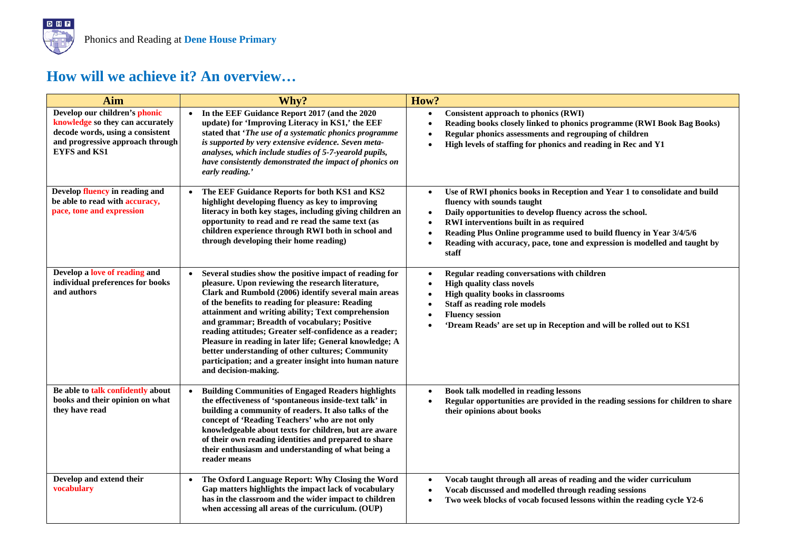### **How will we achieve it? An overview…**

| Aim                                                                                                                                                              | Why?                                                                                                                                                                                                                                                                                                                                                                                                                                                                                                                                                                                        | How?                                                                                                                                                                                                                                                                                                                                                                                                                             |
|------------------------------------------------------------------------------------------------------------------------------------------------------------------|---------------------------------------------------------------------------------------------------------------------------------------------------------------------------------------------------------------------------------------------------------------------------------------------------------------------------------------------------------------------------------------------------------------------------------------------------------------------------------------------------------------------------------------------------------------------------------------------|----------------------------------------------------------------------------------------------------------------------------------------------------------------------------------------------------------------------------------------------------------------------------------------------------------------------------------------------------------------------------------------------------------------------------------|
| Develop our children's phonic<br>knowledge so they can accurately<br>decode words, using a consistent<br>and progressive approach through<br><b>EYFS and KS1</b> | In the EEF Guidance Report 2017 (and the 2020<br>update) for 'Improving Literacy in KS1,' the EEF<br>stated that 'The use of a systematic phonics programme<br>is supported by very extensive evidence. Seven meta-<br>analyses, which include studies of 5-7-yearold pupils,<br>have consistently demonstrated the impact of phonics on<br>early reading.'                                                                                                                                                                                                                                 | <b>Consistent approach to phonics (RWI)</b><br>$\bullet$<br>Reading books closely linked to phonics programme (RWI Book Bag Books)<br>$\bullet$<br>Regular phonics assessments and regrouping of children<br>High levels of staffing for phonics and reading in Rec and Y1<br>$\bullet$                                                                                                                                          |
| Develop fluency in reading and<br>be able to read with accuracy,<br>pace, tone and expression                                                                    | The EEF Guidance Reports for both KS1 and KS2<br>highlight developing fluency as key to improving<br>literacy in both key stages, including giving children an<br>opportunity to read and re read the same text (as<br>children experience through RWI both in school and<br>through developing their home reading)                                                                                                                                                                                                                                                                         | Use of RWI phonics books in Reception and Year 1 to consolidate and build<br>$\bullet$<br>fluency with sounds taught<br>Daily opportunities to develop fluency across the school.<br>$\bullet$<br>RWI interventions built in as required<br>$\bullet$<br>Reading Plus Online programme used to build fluency in Year 3/4/5/6<br>$\bullet$<br>Reading with accuracy, pace, tone and expression is modelled and taught by<br>staff |
| Develop a love of reading and<br>individual preferences for books<br>and authors                                                                                 | Several studies show the positive impact of reading for<br>pleasure. Upon reviewing the research literature,<br>Clark and Rumbold (2006) identify several main areas<br>of the benefits to reading for pleasure: Reading<br>attainment and writing ability; Text comprehension<br>and grammar; Breadth of vocabulary; Positive<br>reading attitudes; Greater self-confidence as a reader;<br>Pleasure in reading in later life; General knowledge; A<br>better understanding of other cultures; Community<br>participation; and a greater insight into human nature<br>and decision-making. | Regular reading conversations with children<br>$\bullet$<br><b>High quality class novels</b><br>$\bullet$<br>High quality books in classrooms<br>Staff as reading role models<br><b>Fluency session</b><br>'Dream Reads' are set up in Reception and will be rolled out to KS1                                                                                                                                                   |
| Be able to talk confidently about<br>books and their opinion on what<br>they have read                                                                           | <b>Building Communities of Engaged Readers highlights</b><br>the effectiveness of 'spontaneous inside-text talk' in<br>building a community of readers. It also talks of the<br>concept of 'Reading Teachers' who are not only<br>knowledgeable about texts for children, but are aware<br>of their own reading identities and prepared to share<br>their enthusiasm and understanding of what being a<br>reader means                                                                                                                                                                      | Book talk modelled in reading lessons<br>$\bullet$<br>Regular opportunities are provided in the reading sessions for children to share<br>their opinions about books                                                                                                                                                                                                                                                             |
| Develop and extend their<br>vocabulary                                                                                                                           | The Oxford Language Report: Why Closing the Word<br>$\bullet$<br>Gap matters highlights the impact lack of vocabulary<br>has in the classroom and the wider impact to children<br>when accessing all areas of the curriculum. (OUP)                                                                                                                                                                                                                                                                                                                                                         | Vocab taught through all areas of reading and the wider curriculum<br>$\bullet$<br>Vocab discussed and modelled through reading sessions<br>$\bullet$<br>Two week blocks of vocab focused lessons within the reading cycle Y2-6                                                                                                                                                                                                  |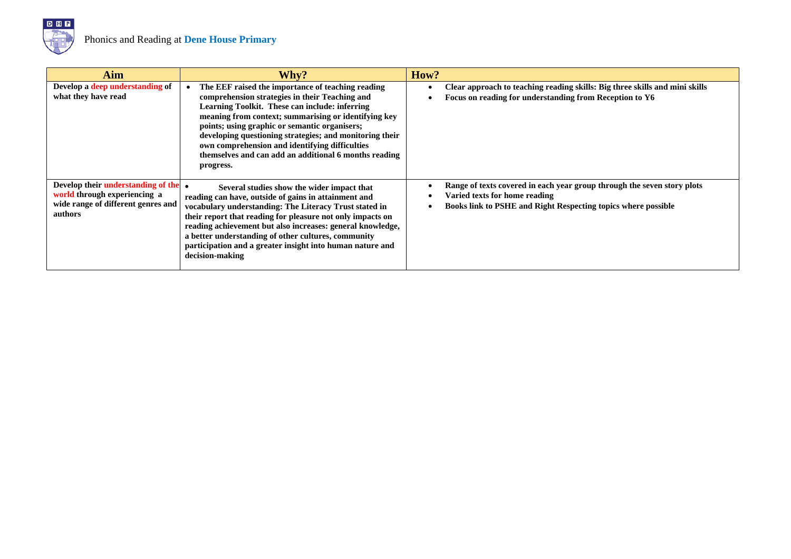

| Aim                                                                                                                 | Why?                                                                                                                                                                                                                                                                                                                                                                                                                                              | How?                                                                                                                                                                             |
|---------------------------------------------------------------------------------------------------------------------|---------------------------------------------------------------------------------------------------------------------------------------------------------------------------------------------------------------------------------------------------------------------------------------------------------------------------------------------------------------------------------------------------------------------------------------------------|----------------------------------------------------------------------------------------------------------------------------------------------------------------------------------|
| Develop a deep understanding of<br>what they have read                                                              | The EEF raised the importance of teaching reading<br>comprehension strategies in their Teaching and<br>Learning Toolkit. These can include: inferring<br>meaning from context; summarising or identifying key<br>points; using graphic or semantic organisers;<br>developing questioning strategies; and monitoring their<br>own comprehension and identifying difficulties<br>themselves and can add an additional 6 months reading<br>progress. | Clear approach to teaching reading skills: Big three skills and mini skills<br>Focus on reading for understanding from Reception to Y6                                           |
| Develop their understanding of the<br>world through experiencing a<br>wide range of different genres and<br>authors | $\bullet$<br>Several studies show the wider impact that<br>reading can have, outside of gains in attainment and<br>vocabulary understanding: The Literacy Trust stated in<br>their report that reading for pleasure not only impacts on<br>reading achievement but also increases: general knowledge,<br>a better understanding of other cultures, community<br>participation and a greater insight into human nature and<br>decision-making      | Range of texts covered in each year group through the seven story plots<br>Varied texts for home reading<br><b>Books link to PSHE and Right Respecting topics where possible</b> |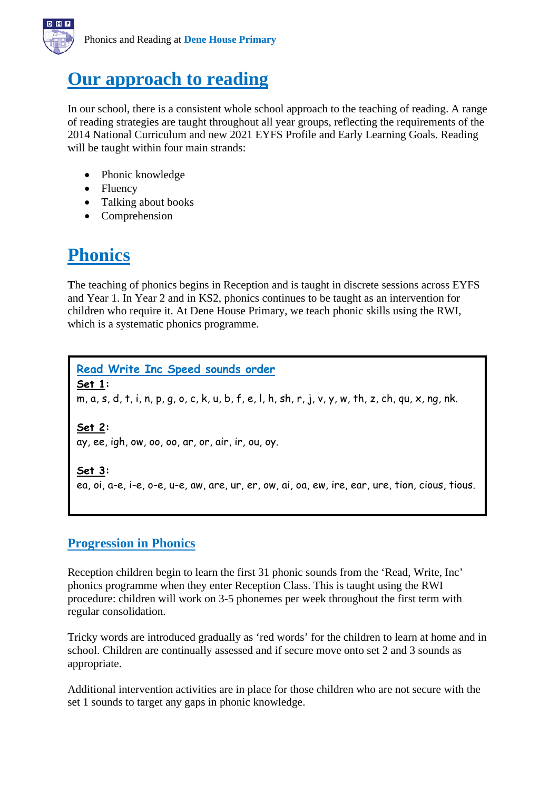

# **Our approach to reading**

In our school, there is a consistent whole school approach to the teaching of reading. A range of reading strategies are taught throughout all year groups, reflecting the requirements of the 2014 National Curriculum and new 2021 EYFS Profile and Early Learning Goals. Reading will be taught within four main strands:

- Phonic knowledge
- Fluency
- Talking about books
- Comprehension

# **Phonics**

**T**he teaching of phonics begins in Reception and is taught in discrete sessions across EYFS and Year 1. In Year 2 and in KS2, phonics continues to be taught as an intervention for children who require it. At Dene House Primary, we teach phonic skills using the RWI, which is a systematic phonics programme.

**Read Write Inc Speed sounds order Set 1:**  m, a, s, d, t, i, n, p, g, o, c, k, u, b, f, e, l, h, sh, r, j, v, y, w, th, z, ch, qu, x, ng, nk. **Set 2:**  ay, ee, igh, ow, oo, oo, ar, or, air, ir, ou, oy.

**Set 3:**  ea, oi, a-e, i-e, o-e, u-e, aw, are, ur, er, ow, ai, oa, ew, ire, ear, ure, tion, cious, tious.

### **Progression in Phonics**

Reception children begin to learn the first 31 phonic sounds from the 'Read, Write, Inc' phonics programme when they enter Reception Class. This is taught using the RWI procedure: children will work on 3-5 phonemes per week throughout the first term with regular consolidation.

Tricky words are introduced gradually as 'red words' for the children to learn at home and in school. Children are continually assessed and if secure move onto set 2 and 3 sounds as appropriate.

Additional intervention activities are in place for those children who are not secure with the set 1 sounds to target any gaps in phonic knowledge.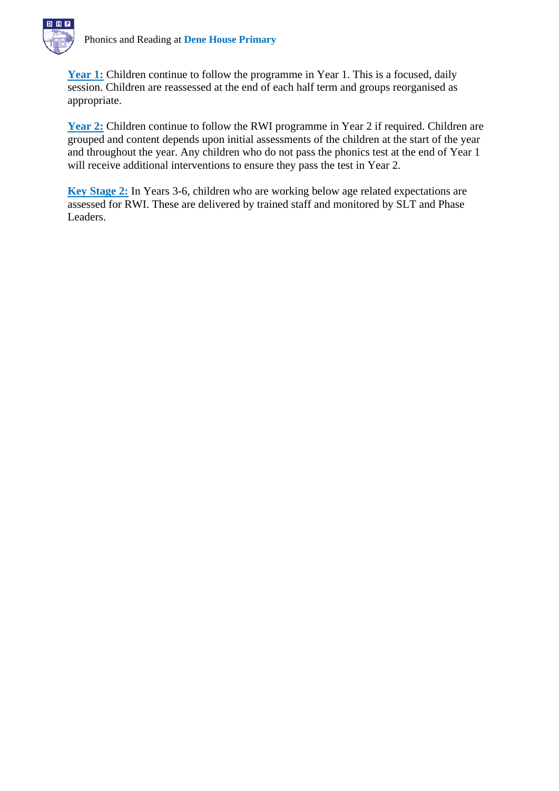

Year 1: Children continue to follow the programme in Year 1. This is a focused, daily session. Children are reassessed at the end of each half term and groups reorganised as appropriate.

Year 2: Children continue to follow the RWI programme in Year 2 if required. Children are grouped and content depends upon initial assessments of the children at the start of the year and throughout the year. Any children who do not pass the phonics test at the end of Year 1 will receive additional interventions to ensure they pass the test in Year 2.

**Key Stage 2:** In Years 3-6, children who are working below age related expectations are assessed for RWI. These are delivered by trained staff and monitored by SLT and Phase Leaders.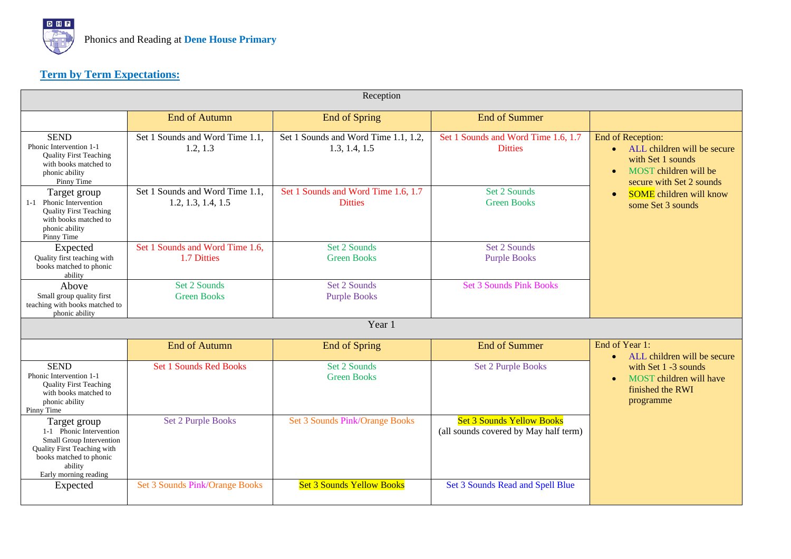

### **Term by Term Expectations:**

| Reception                                                                                                                                                         |                                                       |                                                       |                                                                           |                                                                                                                                           |
|-------------------------------------------------------------------------------------------------------------------------------------------------------------------|-------------------------------------------------------|-------------------------------------------------------|---------------------------------------------------------------------------|-------------------------------------------------------------------------------------------------------------------------------------------|
|                                                                                                                                                                   | <b>End of Autumn</b>                                  | <b>End of Spring</b>                                  | <b>End of Summer</b>                                                      |                                                                                                                                           |
| <b>SEND</b><br>Phonic Intervention 1-1<br><b>Quality First Teaching</b><br>with books matched to<br>phonic ability<br>Pinny Time                                  | Set 1 Sounds and Word Time 1.1,<br>1.2, 1.3           | Set 1 Sounds and Word Time 1.1, 1.2,<br>1.3, 1.4, 1.5 | Set 1 Sounds and Word Time 1.6, 1.7<br><b>Ditties</b>                     | End of Reception:<br>• ALL children will be secure<br>with Set 1 sounds<br>MOST children will be<br>$\bullet$<br>secure with Set 2 sounds |
| Target group<br>1-1 Phonic Intervention<br><b>Quality First Teaching</b><br>with books matched to<br>phonic ability<br>Pinny Time                                 | Set 1 Sounds and Word Time 1.1.<br>1.2, 1.3, 1.4, 1.5 | Set 1 Sounds and Word Time 1.6, 1.7<br><b>Ditties</b> | Set 2 Sounds<br><b>Green Books</b>                                        | <b>SOME</b> children will know<br>$\bullet$<br>some Set 3 sounds                                                                          |
| Expected<br>Quality first teaching with<br>books matched to phonic<br>ability                                                                                     | Set 1 Sounds and Word Time 1.6,<br>1.7 Ditties        | Set 2 Sounds<br><b>Green Books</b>                    | Set 2 Sounds<br><b>Purple Books</b>                                       |                                                                                                                                           |
| Above<br>Small group quality first<br>teaching with books matched to<br>phonic ability                                                                            | Set 2 Sounds<br><b>Green Books</b>                    | Set 2 Sounds<br><b>Purple Books</b>                   | <b>Set 3 Sounds Pink Books</b>                                            |                                                                                                                                           |
| Year 1                                                                                                                                                            |                                                       |                                                       |                                                                           |                                                                                                                                           |
|                                                                                                                                                                   | <b>End of Autumn</b>                                  | <b>End of Spring</b>                                  | <b>End of Summer</b>                                                      | End of Year 1:<br>ALL children will be secure<br>$\bullet$                                                                                |
| <b>SEND</b><br>Phonic Intervention 1-1<br><b>Quality First Teaching</b><br>with books matched to<br>phonic ability<br>Pinny Time                                  | <b>Set 1 Sounds Red Books</b>                         | Set 2 Sounds<br><b>Green Books</b>                    | <b>Set 2 Purple Books</b>                                                 | with Set 1 -3 sounds<br>MOST children will have<br>finished the RWI<br>programme                                                          |
| Target group<br>1-1 Phonic Intervention<br>Small Group Intervention<br>Quality First Teaching with<br>books matched to phonic<br>ability<br>Early morning reading | <b>Set 2 Purple Books</b>                             | <b>Set 3 Sounds Pink/Orange Books</b>                 | <b>Set 3 Sounds Yellow Books</b><br>(all sounds covered by May half term) |                                                                                                                                           |
| Expected                                                                                                                                                          | <b>Set 3 Sounds Pink/Orange Books</b>                 | <b>Set 3 Sounds Yellow Books</b>                      | Set 3 Sounds Read and Spell Blue                                          |                                                                                                                                           |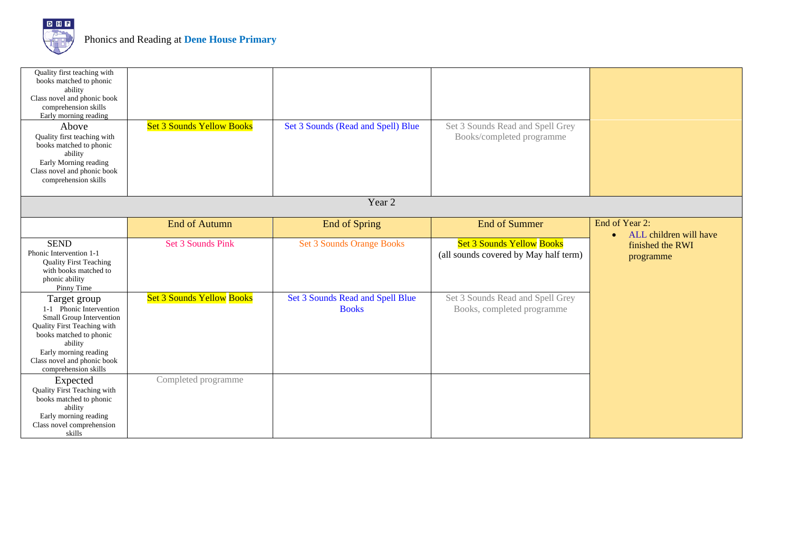

| Quality first teaching with<br>books matched to phonic<br>ability<br>Class novel and phonic book<br>comprehension skills<br>Early morning reading<br>Above<br>Quality first teaching with<br>books matched to phonic<br>ability<br>Early Morning reading<br>Class novel and phonic book<br>comprehension skills | <b>Set 3 Sounds Yellow Books</b> | Set 3 Sounds (Read and Spell) Blue               | Set 3 Sounds Read and Spell Grey<br>Books/completed programme             |                                                       |
|-----------------------------------------------------------------------------------------------------------------------------------------------------------------------------------------------------------------------------------------------------------------------------------------------------------------|----------------------------------|--------------------------------------------------|---------------------------------------------------------------------------|-------------------------------------------------------|
| Year 2                                                                                                                                                                                                                                                                                                          |                                  |                                                  |                                                                           |                                                       |
|                                                                                                                                                                                                                                                                                                                 | <b>End of Autumn</b>             | End of Spring                                    | <b>End of Summer</b>                                                      | End of Year 2:<br>ALL children will have<br>$\bullet$ |
| <b>SEND</b><br>Phonic Intervention 1-1<br><b>Quality First Teaching</b><br>with books matched to<br>phonic ability<br>Pinny Time                                                                                                                                                                                | Set 3 Sounds Pink                | <b>Set 3 Sounds Orange Books</b>                 | <b>Set 3 Sounds Yellow Books</b><br>(all sounds covered by May half term) | finished the RWI<br>programme                         |
| Target group<br>1-1 Phonic Intervention<br>Small Group Intervention<br>Quality First Teaching with<br>books matched to phonic<br>ability<br>Early morning reading<br>Class novel and phonic book<br>comprehension skills                                                                                        | <b>Set 3 Sounds Yellow Books</b> | Set 3 Sounds Read and Spell Blue<br><b>Books</b> | Set 3 Sounds Read and Spell Grey<br>Books, completed programme            |                                                       |
| Expected<br>Quality First Teaching with<br>books matched to phonic<br>ability<br>Early morning reading<br>Class novel comprehension<br>skills                                                                                                                                                                   | Completed programme              |                                                  |                                                                           |                                                       |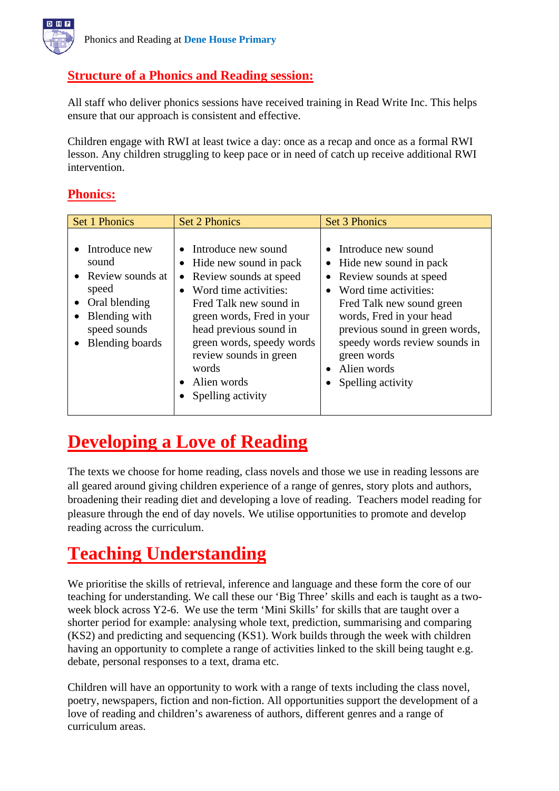

### **Structure of a Phonics and Reading session:**

All staff who deliver phonics sessions have received training in Read Write Inc. This helps ensure that our approach is consistent and effective.

Children engage with RWI at least twice a day: once as a recap and once as a formal RWI lesson. Any children struggling to keep pace or in need of catch up receive additional RWI intervention.

#### **Phonics:**

| <b>Set 1 Phonics</b>                                                                                                                                | <b>Set 2 Phonics</b>                                                                                                                                                                                                                                                                        | <b>Set 3 Phonics</b>                                                                                                                                                                                                                                                              |
|-----------------------------------------------------------------------------------------------------------------------------------------------------|---------------------------------------------------------------------------------------------------------------------------------------------------------------------------------------------------------------------------------------------------------------------------------------------|-----------------------------------------------------------------------------------------------------------------------------------------------------------------------------------------------------------------------------------------------------------------------------------|
| Introduce new<br>sound<br>• Review sounds at<br>speed<br>Oral blending<br>٠<br>Blending with<br>$\bullet$<br>speed sounds<br><b>Blending boards</b> | • Introduce new sound<br>Hide new sound in pack<br>• Review sounds at speed<br>Word time activities:<br>Fred Talk new sound in<br>green words, Fred in your<br>head previous sound in<br>green words, speedy words<br>review sounds in green<br>words<br>• Alien words<br>Spelling activity | • Introduce new sound<br>Hide new sound in pack<br>Review sounds at speed<br>Word time activities:<br>Fred Talk new sound green<br>words, Fred in your head<br>previous sound in green words,<br>speedy words review sounds in<br>green words<br>Alien words<br>Spelling activity |

## **Developing a Love of Reading**

The texts we choose for home reading, class novels and those we use in reading lessons are all geared around giving children experience of a range of genres, story plots and authors, broadening their reading diet and developing a love of reading. Teachers model reading for pleasure through the end of day novels. We utilise opportunities to promote and develop reading across the curriculum.

# **Teaching Understanding**

We prioritise the skills of retrieval, inference and language and these form the core of our teaching for understanding. We call these our 'Big Three' skills and each is taught as a twoweek block across Y2-6. We use the term 'Mini Skills' for skills that are taught over a shorter period for example: analysing whole text, prediction, summarising and comparing (KS2) and predicting and sequencing (KS1). Work builds through the week with children having an opportunity to complete a range of activities linked to the skill being taught e.g. debate, personal responses to a text, drama etc.

Children will have an opportunity to work with a range of texts including the class novel, poetry, newspapers, fiction and non-fiction. All opportunities support the development of a love of reading and children's awareness of authors, different genres and a range of curriculum areas.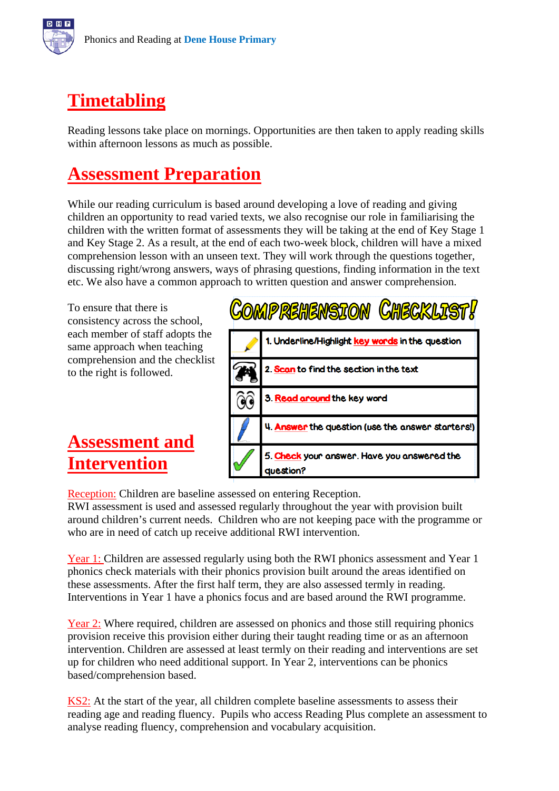



# **Timetabling**

Reading lessons take place on mornings. Opportunities are then taken to apply reading skills within afternoon lessons as much as possible.

# **Assessment Preparation**

While our reading curriculum is based around developing a love of reading and giving children an opportunity to read varied texts, we also recognise our role in familiarising the children with the written format of assessments they will be taking at the end of Key Stage 1 and Key Stage 2. As a result, at the end of each two-week block, children will have a mixed comprehension lesson with an unseen text. They will work through the questions together, discussing right/wrong answers, ways of phrasing questions, finding information in the text etc. We also have a common approach to written question and answer comprehension.

To ensure that there is consistency across the school, each member of staff adopts the same approach when teaching comprehension and the checklist to the right is followed.

**Assessment and Intervention**



Reception: Children are baseline assessed on entering Reception.

RWI assessment is used and assessed regularly throughout the year with provision built around children's current needs. Children who are not keeping pace with the programme or who are in need of catch up receive additional RWI intervention.

Year 1: Children are assessed regularly using both the RWI phonics assessment and Year 1 phonics check materials with their phonics provision built around the areas identified on these assessments. After the first half term, they are also assessed termly in reading. Interventions in Year 1 have a phonics focus and are based around the RWI programme.

Year 2: Where required, children are assessed on phonics and those still requiring phonics provision receive this provision either during their taught reading time or as an afternoon intervention. Children are assessed at least termly on their reading and interventions are set up for children who need additional support. In Year 2, interventions can be phonics based/comprehension based.

KS2: At the start of the year, all children complete baseline assessments to assess their reading age and reading fluency. Pupils who access Reading Plus complete an assessment to analyse reading fluency, comprehension and vocabulary acquisition.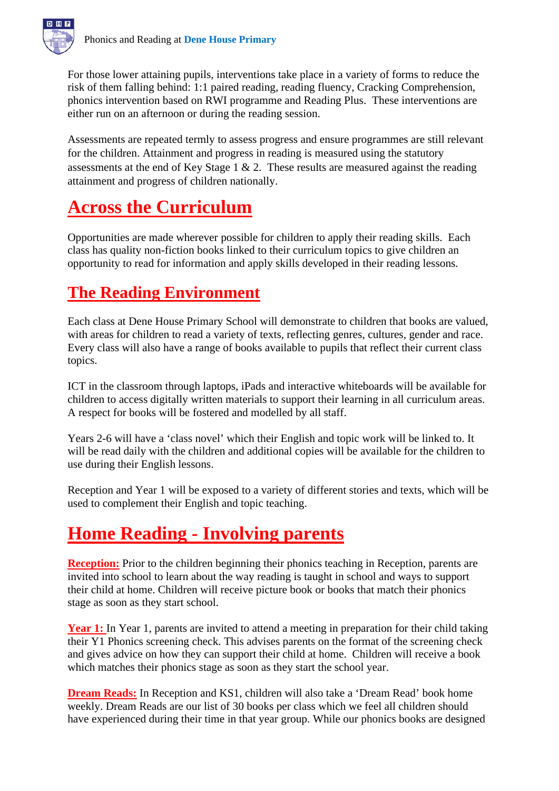

For those lower attaining pupils, interventions take place in a variety of forms to reduce the risk of them falling behind: 1:1 paired reading, reading fluency, Cracking Comprehension, phonics intervention based on RWI programme and Reading Plus. These interventions are either run on an afternoon or during the reading session.

Assessments are repeated termly to assess progress and ensure programmes are still relevant for the children. Attainment and progress in reading is measured using the statutory assessments at the end of Key Stage 1 & 2. These results are measured against the reading attainment and progress of children nationally.

# **Across the Curriculum**

Opportunities are made wherever possible for children to apply their reading skills. Each class has quality non-fiction books linked to their curriculum topics to give children an opportunity to read for information and apply skills developed in their reading lessons.

# **The Reading Environment**

Each class at Dene House Primary School will demonstrate to children that books are valued, with areas for children to read a variety of texts, reflecting genres, cultures, gender and race. Every class will also have a range of books available to pupils that reflect their current class topics.

ICT in the classroom through laptops, iPads and interactive whiteboards will be available for children to access digitally written materials to support their learning in all curriculum areas. A respect for books will be fostered and modelled by all staff.

Years 2-6 will have a 'class novel' which their English and topic work will be linked to. It will be read daily with the children and additional copies will be available for the children to use during their English lessons.

Reception and Year 1 will be exposed to a variety of different stories and texts, which will be used to complement their English and topic teaching.

# **Home Reading - Involving parents**

**Reception:** Prior to the children beginning their phonics teaching in Reception, parents are invited into school to learn about the way reading is taught in school and ways to support their child at home. Children will receive picture book or books that match their phonics stage as soon as they start school.

Year 1: In Year 1, parents are invited to attend a meeting in preparation for their child taking their Y1 Phonics screening check. This advises parents on the format of the screening check and gives advice on how they can support their child at home. Children will receive a book which matches their phonics stage as soon as they start the school year.

**Dream Reads:** In Reception and KS1, children will also take a 'Dream Read' book home weekly. Dream Reads are our list of 30 books per class which we feel all children should have experienced during their time in that year group. While our phonics books are designed